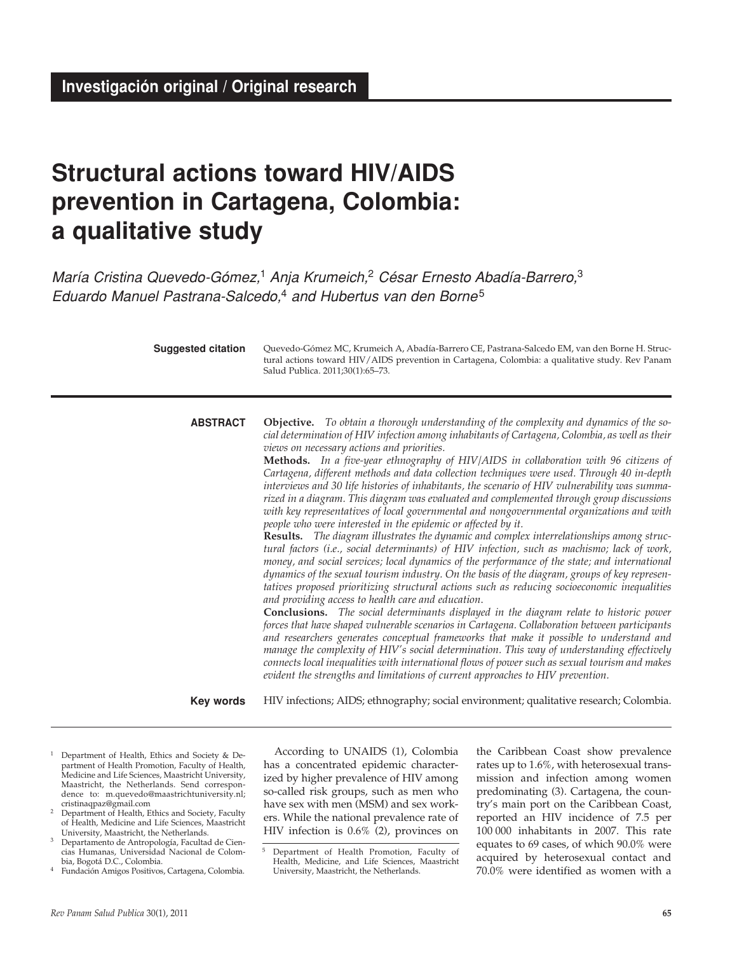# **Structural actions toward HIV/AIDS prevention in Cartagena, Colombia: a qualitative study**

María Cristina Quevedo-Gómez,<sup>1</sup> Anja Krumeich,<sup>2</sup> César Ernesto Abadía-Barrero,<sup>3</sup> Eduardo Manuel Pastrana-Salcedo,<sup>4</sup> and Hubertus van den Borne<sup>5</sup>

| <b>Suggested citation</b> | Quevedo-Gómez MC, Krumeich A, Abadía-Barrero CE, Pastrana-Salcedo EM, van den Borne H. Struc-<br>tural actions toward HIV/AIDS prevention in Cartagena, Colombia: a qualitative study. Rev Panam<br>Salud Publica. 2011;30(1):65-73.                                                                                                                                                                                                                                                                                                                                                                                                                                                                                                                                                                                                                                                                                                                                                                                                                                                                                                                                                                                                                                                                                                                                                                                                                                                                                                                                                                                                                                                                                                                                                                                                                                                                                        |  |  |
|---------------------------|-----------------------------------------------------------------------------------------------------------------------------------------------------------------------------------------------------------------------------------------------------------------------------------------------------------------------------------------------------------------------------------------------------------------------------------------------------------------------------------------------------------------------------------------------------------------------------------------------------------------------------------------------------------------------------------------------------------------------------------------------------------------------------------------------------------------------------------------------------------------------------------------------------------------------------------------------------------------------------------------------------------------------------------------------------------------------------------------------------------------------------------------------------------------------------------------------------------------------------------------------------------------------------------------------------------------------------------------------------------------------------------------------------------------------------------------------------------------------------------------------------------------------------------------------------------------------------------------------------------------------------------------------------------------------------------------------------------------------------------------------------------------------------------------------------------------------------------------------------------------------------------------------------------------------------|--|--|
| <b>ABSTRACT</b>           | Objective. To obtain a thorough understanding of the complexity and dynamics of the so-<br>cial determination of HIV infection among inhabitants of Cartagena, Colombia, as well as their<br>views on necessary actions and priorities.<br>Methods. In a five-year ethnography of HIV/AIDS in collaboration with 96 citizens of<br>Cartagena, different methods and data collection techniques were used. Through 40 in-depth<br>interviews and 30 life histories of inhabitants, the scenario of HIV vulnerability was summa-<br>rized in a diagram. This diagram was evaluated and complemented through group discussions<br>with key representatives of local governmental and nongovernmental organizations and with<br>people who were interested in the epidemic or affected by it.<br>Results. The diagram illustrates the dynamic and complex interrelationships among struc-<br>tural factors (i.e., social determinants) of HIV infection, such as machismo; lack of work,<br>money, and social services; local dynamics of the performance of the state; and international<br>dynamics of the sexual tourism industry. On the basis of the diagram, groups of key represen-<br>tatives proposed prioritizing structural actions such as reducing socioeconomic inequalities<br>and providing access to health care and education.<br><b>Conclusions.</b> The social determinants displayed in the diagram relate to historic power<br>forces that have shaped vulnerable scenarios in Cartagena. Collaboration between participants<br>and researchers generates conceptual frameworks that make it possible to understand and<br>manage the complexity of HIV's social determination. This way of understanding effectively<br>connects local inequalities with international flows of power such as sexual tourism and makes<br>evident the strengths and limitations of current approaches to HIV prevention. |  |  |
| Key words                 | HIV infections; AIDS; ethnography; social environment; qualitative research; Colombia.                                                                                                                                                                                                                                                                                                                                                                                                                                                                                                                                                                                                                                                                                                                                                                                                                                                                                                                                                                                                                                                                                                                                                                                                                                                                                                                                                                                                                                                                                                                                                                                                                                                                                                                                                                                                                                      |  |  |

- <sup>1</sup> Department of Health, Ethics and Society & Department of Health Promotion, Faculty of Health, Medicine and Life Sciences, Maastricht University, Maastricht, the Netherlands. Send correspondence to: m.quevedo@maastrichtuniversity.nl; cristinaqpaz@gmail.com
- Department of Health, Ethics and Society, Faculty of Health, Medicine and Life Sciences, Maastricht University, Maastricht, the Netherlands.
- <sup>3</sup> Departamento de Antropología, Facultad de Ciencias Humanas, Universidad Nacional de Colombia, Bogotá D.C., Colombia.
- <sup>4</sup> Fundación Amigos Positivos, Cartagena, Colombia.

According to UNAIDS (1), Colombia has a concentrated epidemic characterized by higher prevalence of HIV among so-called risk groups, such as men who have sex with men (MSM) and sex workers. While the national prevalence rate of HIV infection is 0.6% (2), provinces on

the Caribbean Coast show prevalence rates up to 1.6%, with heterosexual transmission and infection among women predominating (3). Cartagena, the country's main port on the Caribbean Coast, reported an HIV incidence of 7.5 per 100 000 inhabitants in 2007. This rate equates to 69 cases, of which 90.0% were acquired by heterosexual contact and 70.0% were identified as women with a

<sup>5</sup> Department of Health Promotion, Faculty of Health, Medicine, and Life Sciences, Maastricht University, Maastricht, the Netherlands.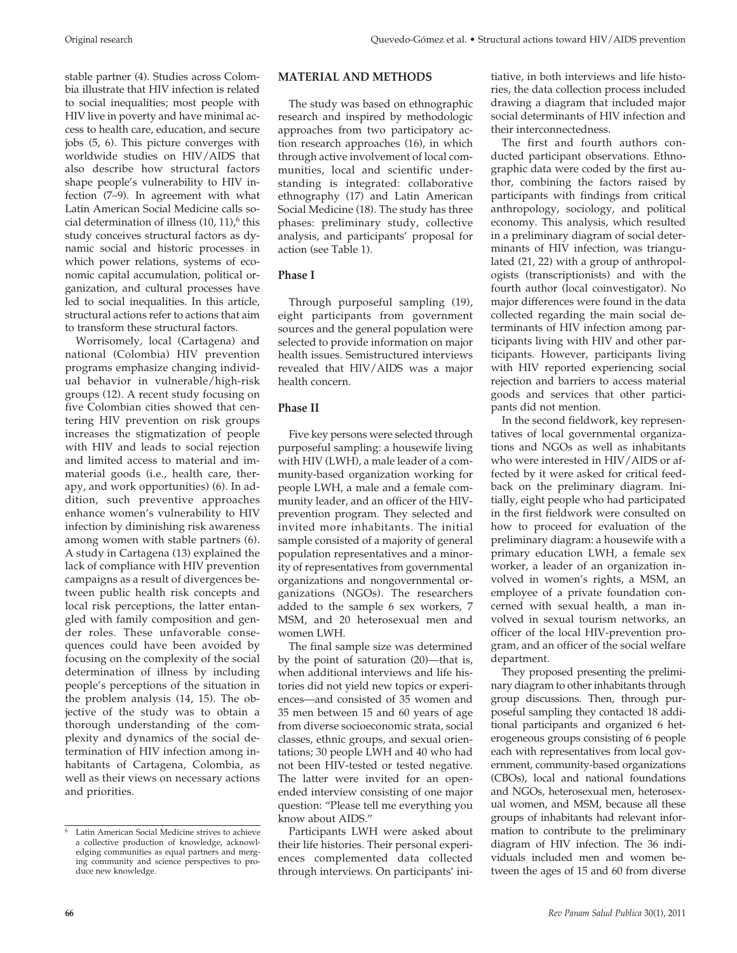stable partner (4). Studies across Colombia illustrate that HIV infection is related to social inequalities; most people with HIV live in poverty and have minimal access to health care, education, and secure jobs (5, 6). This picture converges with worldwide studies on HIV/AIDS that also describe how structural factors shape people's vulnerability to HIV infection (7–9). In agreement with what Latin American Social Medicine calls social determination of illness  $(10, 11)$ , this study conceives structural factors as dynamic social and historic processes in which power relations, systems of economic capital accumulation, political organization, and cultural processes have led to social inequalities. In this article, structural actions refer to actions that aim to transform these structural factors.

Worrisomely, local (Cartagena) and national (Colombia) HIV prevention programs emphasize changing individual behavior in vulnerable/high-risk groups (12). A recent study focusing on five Colombian cities showed that centering HIV prevention on risk groups increases the stigmatization of people with HIV and leads to social rejection and limited access to material and immaterial goods (i.e., health care, therapy, and work opportunities) (6). In addition, such preventive approaches enhance women's vulnerability to HIV infection by diminishing risk awareness among women with stable partners (6). A study in Cartagena (13) explained the lack of compliance with HIV prevention campaigns as a result of divergences between public health risk concepts and local risk perceptions, the latter entangled with family composition and gender roles. These unfavorable consequences could have been avoided by focusing on the complexity of the social determination of illness by including people's perceptions of the situation in the problem analysis (14, 15). The objective of the study was to obtain a thorough understanding of the complexity and dynamics of the social determination of HIV infection among inhabitants of Cartagena, Colombia, as well as their views on necessary actions and priorities.

## **MATERIAL AND METHODS**

The study was based on ethnographic research and inspired by methodologic approaches from two participatory action research approaches (16), in which through active involvement of local communities, local and scientific understanding is integrated: collaborative ethnography (17) and Latin American Social Medicine (18). The study has three phases: preliminary study, collective analysis, and participants' proposal for action (see Table 1).

## **Phase I**

Through purposeful sampling (19), eight participants from government sources and the general population were selected to provide information on major health issues. Semistructured interviews revealed that HIV/AIDS was a major health concern.

# **Phase II**

Five key persons were selected through purposeful sampling: a housewife living with HIV (LWH), a male leader of a community-based organization working for people LWH, a male and a female community leader, and an officer of the HIVprevention program*.* They selected and invited more inhabitants. The initial sample consisted of a majority of general population representatives and a minority of representatives from governmental organizations and nongovernmental organizations (NGOs). The researchers added to the sample 6 sex workers, 7 MSM, and 20 heterosexual men and women LWH.

The final sample size was determined by the point of saturation (20)—that is, when additional interviews and life histories did not yield new topics or experiences—and consisted of 35 women and 35 men between 15 and 60 years of age from diverse socioeconomic strata, social classes, ethnic groups, and sexual orientations; 30 people LWH and 40 who had not been HIV-tested or tested negative. The latter were invited for an openended interview consisting of one major question: "Please tell me everything you know about AIDS."

Participants LWH were asked about their life histories. Their personal experiences complemented data collected through interviews. On participants' initiative, in both interviews and life histories, the data collection process included drawing a diagram that included major social determinants of HIV infection and their interconnectedness.

The first and fourth authors conducted participant observations. Ethnographic data were coded by the first author, combining the factors raised by participants with findings from critical anthropology, sociology, and political economy. This analysis, which resulted in a preliminary diagram of social determinants of HIV infection, was triangulated (21, 22) with a group of anthropologists (transcriptionists) and with the fourth author (local coinvestigator). No major differences were found in the data collected regarding the main social determinants of HIV infection among participants living with HIV and other participants. However, participants living with HIV reported experiencing social rejection and barriers to access material goods and services that other participants did not mention.

In the second fieldwork, key representatives of local governmental organizations and NGOs as well as inhabitants who were interested in HIV/AIDS or affected by it were asked for critical feedback on the preliminary diagram. Initially, eight people who had participated in the first fieldwork were consulted on how to proceed for evaluation of the preliminary diagram: a housewife with a primary education LWH, a female sex worker, a leader of an organization involved in women's rights, a MSM, an employee of a private foundation concerned with sexual health, a man involved in sexual tourism networks, an officer of the local HIV-prevention program, and an officer of the social welfare department.

They proposed presenting the preliminary diagram to other inhabitants through group discussions. Then, through purposeful sampling they contacted 18 additional participants and organized 6 heterogeneous groups consisting of 6 people each with representatives from local government, community-based organizations (CBOs), local and national foundations and NGOs, heterosexual men, heterosexual women, and MSM, because all these groups of inhabitants had relevant information to contribute to the preliminary diagram of HIV infection. The 36 individuals included men and women between the ages of 15 and 60 from diverse

<sup>6</sup> Latin American Social Medicine strives to achieve a collective production of knowledge, acknowledging communities as equal partners and merging community and science perspectives to produce new knowledge.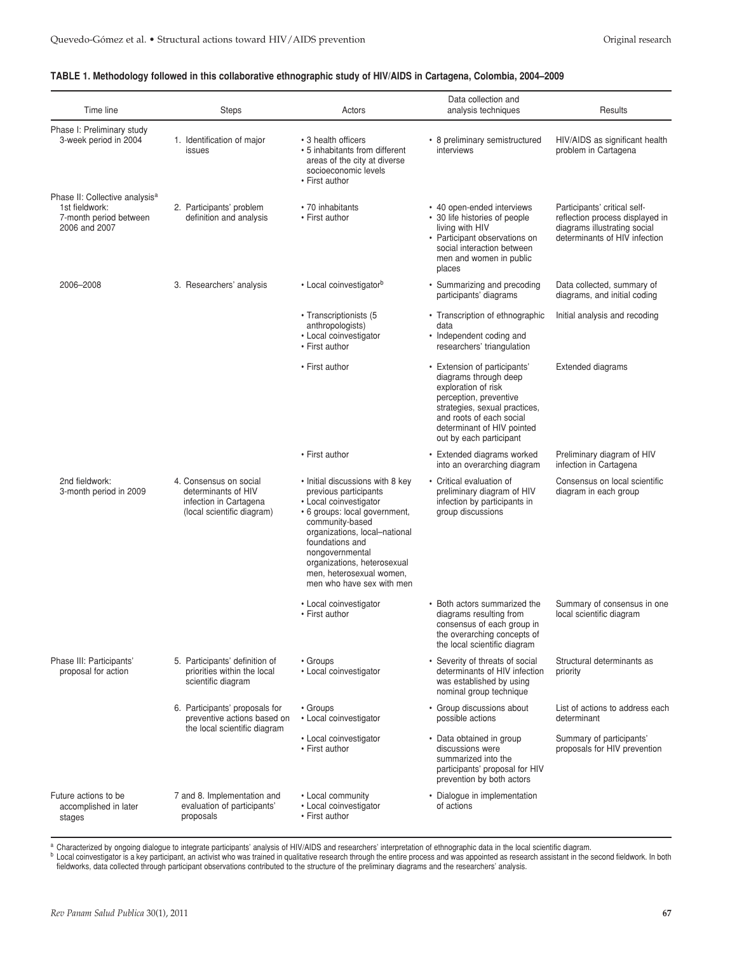## **TABLE 1. Methodology followed in this collaborative ethnographic study of HIV/AIDS in Cartagena, Colombia, 2004–2009**

| Time line                                                                                               | <b>Steps</b>                                                                                          | Actors                                                                                                                                                                                                                                                                                                 | Data collection and<br>analysis techniques                                                                                                                                                                                   | Results                                                                                                                          |
|---------------------------------------------------------------------------------------------------------|-------------------------------------------------------------------------------------------------------|--------------------------------------------------------------------------------------------------------------------------------------------------------------------------------------------------------------------------------------------------------------------------------------------------------|------------------------------------------------------------------------------------------------------------------------------------------------------------------------------------------------------------------------------|----------------------------------------------------------------------------------------------------------------------------------|
| Phase I: Preliminary study<br>3-week period in 2004                                                     | 1. Identification of major<br>issues                                                                  | • 3 health officers<br>• 5 inhabitants from different<br>areas of the city at diverse<br>socioeconomic levels<br>• First author                                                                                                                                                                        | • 8 preliminary semistructured<br>interviews                                                                                                                                                                                 | HIV/AIDS as significant health<br>problem in Cartagena                                                                           |
| Phase II: Collective analysis <sup>a</sup><br>1st fieldwork:<br>7-month period between<br>2006 and 2007 | 2. Participants' problem<br>definition and analysis                                                   | • 70 inhabitants<br>• First author                                                                                                                                                                                                                                                                     | • 40 open-ended interviews<br>• 30 life histories of people<br>living with HIV<br>• Participant observations on<br>social interaction between<br>men and women in public<br>places                                           | Participants' critical self-<br>reflection process displayed in<br>diagrams illustrating social<br>determinants of HIV infection |
| 2006-2008                                                                                               | 3. Researchers' analysis                                                                              | • Local coinvestigator <sup>b</sup>                                                                                                                                                                                                                                                                    | • Summarizing and precoding<br>participants' diagrams                                                                                                                                                                        | Data collected, summary of<br>diagrams, and initial coding                                                                       |
|                                                                                                         |                                                                                                       | • Transcriptionists (5<br>anthropologists)<br>• Local coinvestigator<br>• First author                                                                                                                                                                                                                 | • Transcription of ethnographic<br>data<br>• Independent coding and<br>researchers' triangulation                                                                                                                            | Initial analysis and recoding                                                                                                    |
|                                                                                                         |                                                                                                       | • First author                                                                                                                                                                                                                                                                                         | • Extension of participants'<br>diagrams through deep<br>exploration of risk<br>perception, preventive<br>strategies, sexual practices,<br>and roots of each social<br>determinant of HIV pointed<br>out by each participant | <b>Extended diagrams</b>                                                                                                         |
|                                                                                                         |                                                                                                       | • First author                                                                                                                                                                                                                                                                                         | • Extended diagrams worked<br>into an overarching diagram                                                                                                                                                                    | Preliminary diagram of HIV<br>infection in Cartagena                                                                             |
| 2nd fieldwork:<br>3-month period in 2009                                                                | 4. Consensus on social<br>determinants of HIV<br>infection in Cartagena<br>(local scientific diagram) | • Initial discussions with 8 key<br>previous participants<br>• Local coinvestigator<br>• 6 groups: local government,<br>community-based<br>organizations, local-national<br>foundations and<br>nongovernmental<br>organizations, heterosexual<br>men, heterosexual women,<br>men who have sex with men | • Critical evaluation of<br>preliminary diagram of HIV<br>infection by participants in<br>group discussions                                                                                                                  | Consensus on local scientific<br>diagram in each group                                                                           |
|                                                                                                         |                                                                                                       | • Local coinvestigator<br>• First author                                                                                                                                                                                                                                                               | • Both actors summarized the<br>diagrams resulting from<br>consensus of each group in<br>the overarching concepts of<br>the local scientific diagram                                                                         | Summary of consensus in one<br>local scientific diagram                                                                          |
| Phase III: Participants'<br>proposal for action                                                         | 5. Participants' definition of<br>priorities within the local<br>scientific diagram                   | • Groups<br>• Local coinvestigator                                                                                                                                                                                                                                                                     | • Severity of threats of social<br>determinants of HIV infection<br>was established by using<br>nominal group technique                                                                                                      | Structural determinants as<br>priority                                                                                           |
|                                                                                                         | 6. Participants' proposals for<br>preventive actions based on                                         | • Groups<br>• Local coinvestigator                                                                                                                                                                                                                                                                     | • Group discussions about<br>possible actions                                                                                                                                                                                | List of actions to address each<br>determinant                                                                                   |
|                                                                                                         | the local scientific diagram                                                                          | • Local coinvestigator<br>• First author                                                                                                                                                                                                                                                               | Data obtained in group<br>discussions were<br>summarized into the<br>participants' proposal for HIV<br>prevention by both actors                                                                                             | Summary of participants'<br>proposals for HIV prevention                                                                         |
| Future actions to be<br>accomplished in later<br>stages                                                 | 7 and 8. Implementation and<br>evaluation of participants'<br>proposals                               | • Local community<br>• Local coinvestigator<br>• First author                                                                                                                                                                                                                                          | Dialogue in implementation<br>of actions                                                                                                                                                                                     |                                                                                                                                  |

a Characterized by ongoing dialogue to integrate participants' analysis of HIV/AIDS and researchers' interpretation of ethnographic data in the local scientific diagram.

b Local coinvestigator is a key participant, an activist who was trained in qualitative research through the entire process and was appointed as research assistant in the second fieldwork. In both fieldworks, data collected through participant observations contributed to the structure of the preliminary diagrams and the researchers' analysis.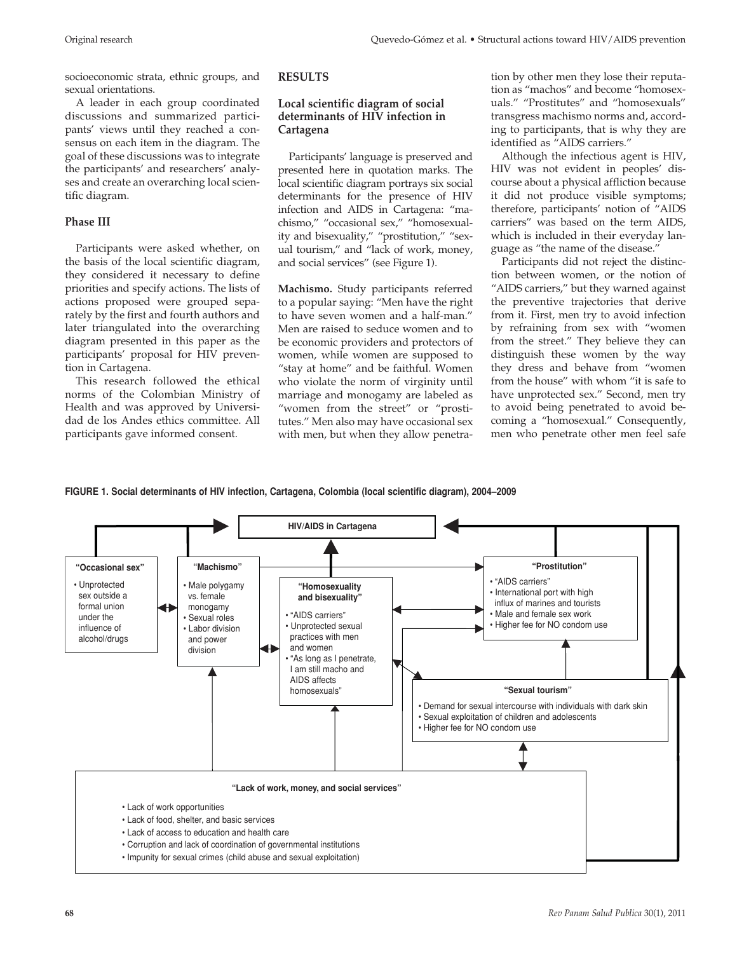socioeconomic strata, ethnic groups, and sexual orientations.

A leader in each group coordinated discussions and summarized participants' views until they reached a consensus on each item in the diagram. The goal of these discussions was to integrate the participants' and researchers' analyses and create an overarching local scientific diagram.

## **Phase III**

Participants were asked whether, on the basis of the local scientific diagram, they considered it necessary to define priorities and specify actions. The lists of actions proposed were grouped separately by the first and fourth authors and later triangulated into the overarching diagram presented in this paper as the participants' proposal for HIV prevention in Cartagena.

This research followed the ethical norms of the Colombian Ministry of Health and was approved by Universidad de los Andes ethics committee. All participants gave informed consent.

## **RESULTS**

## **Local scientific diagram of social determinants of HIV infection in Cartagena**

Participants' language is preserved and presented here in quotation marks. The local scientific diagram portrays six social determinants for the presence of HIV infection and AIDS in Cartagena: "machismo," "occasional sex," "homosexuality and bisexuality," "prostitution," "sexual tourism," and "lack of work, money, and social services" (see Figure 1).

**Machismo.** Study participants referred to a popular saying: "Men have the right to have seven women and a half-man." Men are raised to seduce women and to be economic providers and protectors of women, while women are supposed to "stay at home" and be faithful. Women who violate the norm of virginity until marriage and monogamy are labeled as "women from the street" or "prostitutes." Men also may have occasional sex with men, but when they allow penetration by other men they lose their reputation as "machos" and become "homosexuals." "Prostitutes" and "homosexuals" transgress machismo norms and, according to participants, that is why they are identified as "AIDS carriers."

Although the infectious agent is HIV, HIV was not evident in peoples' discourse about a physical affliction because it did not produce visible symptoms; therefore, participants' notion of "AIDS carriers" was based on the term AIDS, which is included in their everyday language as "the name of the disease."

Participants did not reject the distinction between women, or the notion of "AIDS carriers," but they warned against the preventive trajectories that derive from it. First, men try to avoid infection by refraining from sex with "women from the street." They believe they can distinguish these women by the way they dress and behave from "women from the house" with whom "it is safe to have unprotected sex." Second, men try to avoid being penetrated to avoid becoming a "homosexual." Consequently, men who penetrate other men feel safe

## **FIGURE 1. Social determinants of HIV infection, Cartagena, Colombia (local scientific diagram), 2004–2009**

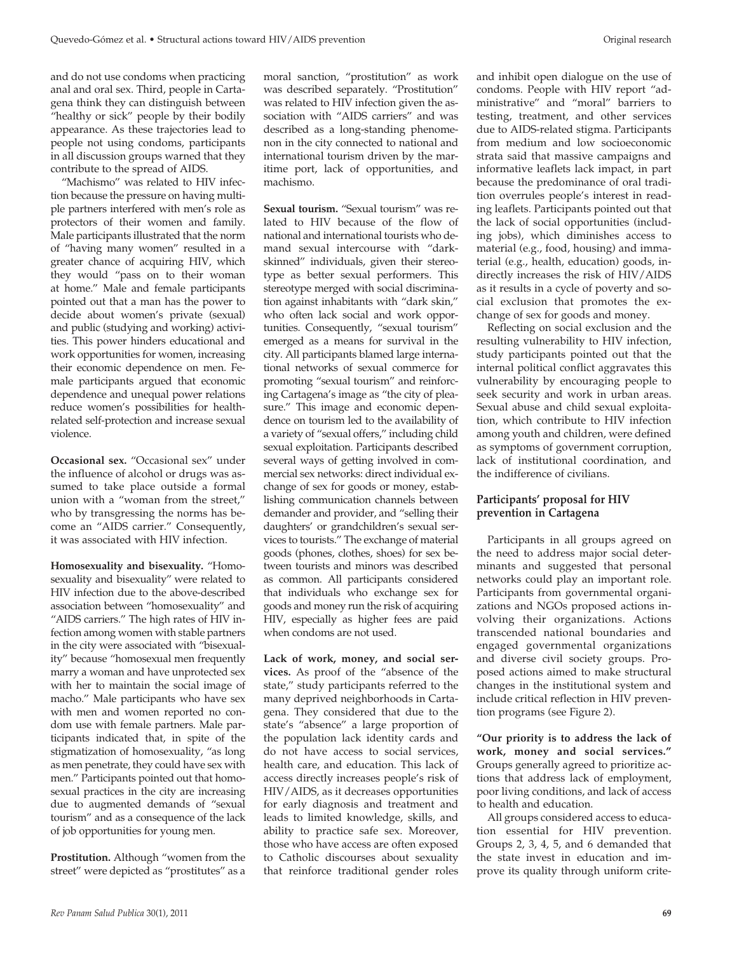and do not use condoms when practicing anal and oral sex. Third, people in Cartagena think they can distinguish between "healthy or sick" people by their bodily appearance. As these trajectories lead to people not using condoms, participants in all discussion groups warned that they contribute to the spread of AIDS.

"Machismo" was related to HIV infection because the pressure on having multiple partners interfered with men's role as protectors of their women and family. Male participants illustrated that the norm of "having many women" resulted in a greater chance of acquiring HIV, which they would "pass on to their woman at home." Male and female participants pointed out that a man has the power to decide about women's private (sexual) and public (studying and working) activities. This power hinders educational and work opportunities for women, increasing their economic dependence on men. Female participants argued that economic dependence and unequal power relations reduce women's possibilities for healthrelated self-protection and increase sexual violence.

**Occasional sex.** "Occasional sex" under the influence of alcohol or drugs was assumed to take place outside a formal union with a "woman from the street," who by transgressing the norms has become an "AIDS carrier." Consequently, it was associated with HIV infection.

**Homosexuality and bisexuality.** "Homosexuality and bisexuality" were related to HIV infection due to the above-described association between "homosexuality" and "AIDS carriers." The high rates of HIV infection among women with stable partners in the city were associated with "bisexuality" because "homosexual men frequently marry a woman and have unprotected sex with her to maintain the social image of macho." Male participants who have sex with men and women reported no condom use with female partners. Male participants indicated that, in spite of the stigmatization of homosexuality, "as long as men penetrate, they could have sex with men." Participants pointed out that homosexual practices in the city are increasing due to augmented demands of "sexual tourism" and as a consequence of the lack of job opportunities for young men.

**Prostitution.** Although "women from the street" were depicted as "prostitutes" as a

moral sanction, "prostitution" as work was described separately. "Prostitution" was related to HIV infection given the association with "AIDS carriers" and was described as a long-standing phenomenon in the city connected to national and international tourism driven by the maritime port, lack of opportunities, and machismo.

**Sexual tourism.** "Sexual tourism" was related to HIV because of the flow of national and international tourists who demand sexual intercourse with "darkskinned" individuals, given their stereotype as better sexual performers. This stereotype merged with social discrimination against inhabitants with "dark skin," who often lack social and work opportunities. Consequently, "sexual tourism" emerged as a means for survival in the city. All participants blamed large international networks of sexual commerce for promoting "sexual tourism" and reinforcing Cartagena's image as "the city of pleasure." This image and economic dependence on tourism led to the availability of a variety of "sexual offers," including child sexual exploitation. Participants described several ways of getting involved in commercial sex networks: direct individual exchange of sex for goods or money, establishing communication channels between demander and provider, and "selling their daughters' or grandchildren's sexual services to tourists." The exchange of material goods (phones, clothes, shoes) for sex between tourists and minors was described as common. All participants considered that individuals who exchange sex for goods and money run the risk of acquiring HIV, especially as higher fees are paid when condoms are not used.

**Lack of work, money, and social services.** As proof of the "absence of the state," study participants referred to the many deprived neighborhoods in Cartagena. They considered that due to the state's "absence" a large proportion of the population lack identity cards and do not have access to social services, health care, and education. This lack of access directly increases people's risk of HIV/AIDS, as it decreases opportunities for early diagnosis and treatment and leads to limited knowledge, skills, and ability to practice safe sex. Moreover, those who have access are often exposed to Catholic discourses about sexuality that reinforce traditional gender roles

and inhibit open dialogue on the use of condoms. People with HIV report "administrative" and "moral" barriers to testing, treatment, and other services due to AIDS-related stigma. Participants from medium and low socioeconomic strata said that massive campaigns and informative leaflets lack impact, in part because the predominance of oral tradition overrules people's interest in reading leaflets. Participants pointed out that the lack of social opportunities (including jobs), which diminishes access to material (e.g., food, housing) and immaterial (e.g., health, education) goods, indirectly increases the risk of HIV/AIDS as it results in a cycle of poverty and social exclusion that promotes the exchange of sex for goods and money.

Reflecting on social exclusion and the resulting vulnerability to HIV infection, study participants pointed out that the internal political conflict aggravates this vulnerability by encouraging people to seek security and work in urban areas. Sexual abuse and child sexual exploitation, which contribute to HIV infection among youth and children, were defined as symptoms of government corruption, lack of institutional coordination, and the indifference of civilians.

# **Participants' proposal for HIV prevention in Cartagena**

Participants in all groups agreed on the need to address major social determinants and suggested that personal networks could play an important role. Participants from governmental organizations and NGOs proposed actions involving their organizations. Actions transcended national boundaries and engaged governmental organizations and diverse civil society groups. Proposed actions aimed to make structural changes in the institutional system and include critical reflection in HIV prevention programs (see Figure 2).

**"Our priority is to address the lack of work, money and social services."** Groups generally agreed to prioritize actions that address lack of employment, poor living conditions, and lack of access to health and education.

All groups considered access to education essential for HIV prevention. Groups 2, 3, 4, 5, and 6 demanded that the state invest in education and improve its quality through uniform crite-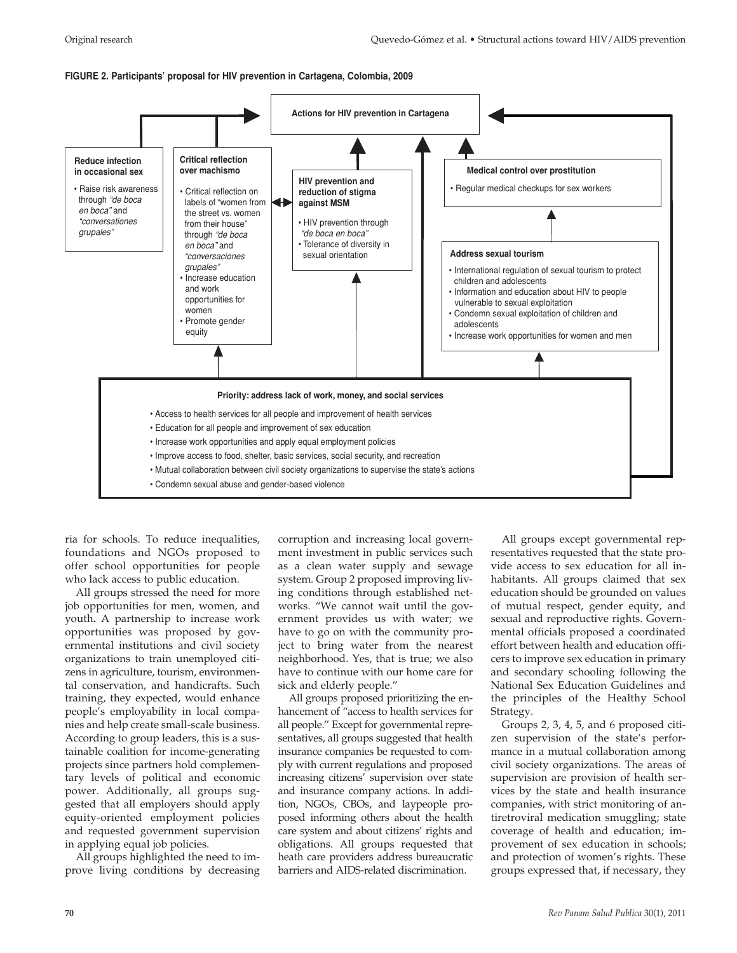### **FIGURE 2. Participants' proposal for HIV prevention in Cartagena, Colombia, 2009**



ria for schools. To reduce inequalities, foundations and NGOs proposed to offer school opportunities for people who lack access to public education.

All groups stressed the need for more job opportunities for men, women, and youth**.** A partnership to increase work opportunities was proposed by governmental institutions and civil society organizations to train unemployed citizens in agriculture, tourism, environmental conservation, and handicrafts. Such training, they expected, would enhance people's employability in local companies and help create small-scale business. According to group leaders, this is a sustainable coalition for income-generating projects since partners hold complementary levels of political and economic power. Additionally, all groups suggested that all employers should apply equity-oriented employment policies and requested government supervision in applying equal job policies.

All groups highlighted the need to improve living conditions by decreasing corruption and increasing local government investment in public services such as a clean water supply and sewage system. Group 2 proposed improving living conditions through established networks. "We cannot wait until the government provides us with water; we have to go on with the community project to bring water from the nearest neighborhood. Yes, that is true; we also have to continue with our home care for sick and elderly people."

All groups proposed prioritizing the enhancement of "access to health services for all people." Except for governmental representatives, all groups suggested that health insurance companies be requested to comply with current regulations and proposed increasing citizens' supervision over state and insurance company actions. In addition, NGOs, CBOs, and laypeople proposed informing others about the health care system and about citizens' rights and obligations. All groups requested that heath care providers address bureaucratic barriers and AIDS-related discrimination.

All groups except governmental representatives requested that the state provide access to sex education for all inhabitants. All groups claimed that sex education should be grounded on values of mutual respect, gender equity, and sexual and reproductive rights. Governmental officials proposed a coordinated effort between health and education officers to improve sex education in primary and secondary schooling following the National Sex Education Guidelines and the principles of the Healthy School Strategy.

Groups 2, 3, 4, 5, and 6 proposed citizen supervision of the state's performance in a mutual collaboration among civil society organizations. The areas of supervision are provision of health services by the state and health insurance companies, with strict monitoring of antiretroviral medication smuggling; state coverage of health and education; improvement of sex education in schools; and protection of women's rights. These groups expressed that, if necessary, they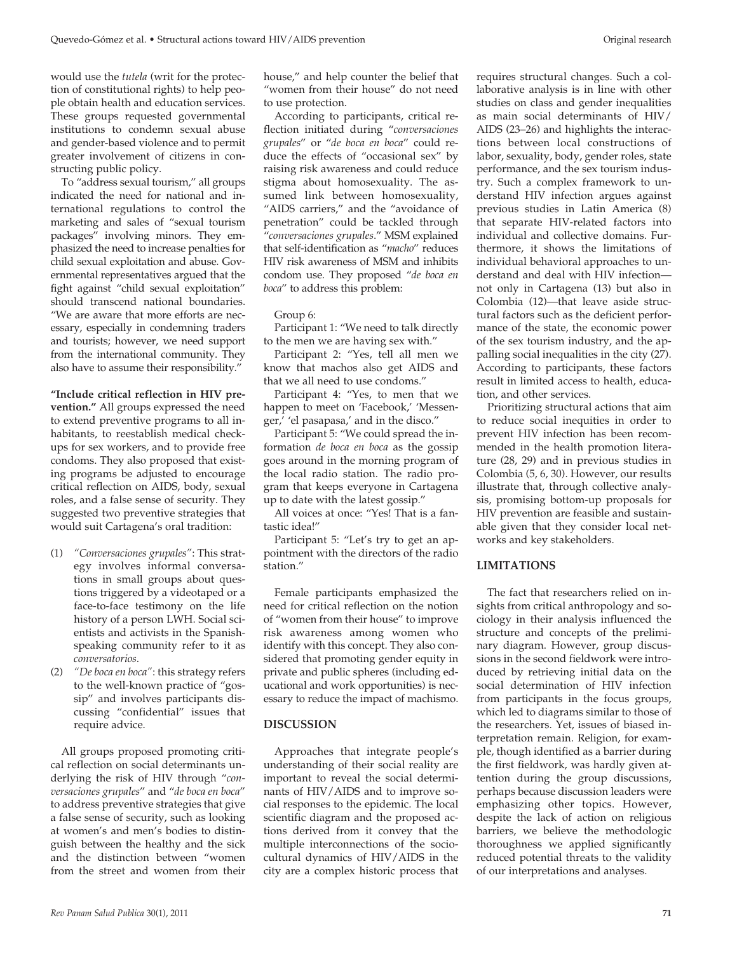would use the *tutela* (writ for the protection of constitutional rights) to help people obtain health and education services. These groups requested governmental institutions to condemn sexual abuse and gender-based violence and to permit greater involvement of citizens in constructing public policy.

To "address sexual tourism," all groups indicated the need for national and international regulations to control the marketing and sales of "sexual tourism packages" involving minors. They emphasized the need to increase penalties for child sexual exploitation and abuse. Governmental representatives argued that the fight against "child sexual exploitation" should transcend national boundaries. "We are aware that more efforts are necessary, especially in condemning traders and tourists; however, we need support from the international community. They also have to assume their responsibility."

**"Include critical reflection in HIV prevention."** All groups expressed the need to extend preventive programs to all inhabitants, to reestablish medical checkups for sex workers, and to provide free condoms. They also proposed that existing programs be adjusted to encourage critical reflection on AIDS, body, sexual roles, and a false sense of security. They suggested two preventive strategies that would suit Cartagena's oral tradition:

- (1) *"Conversaciones grupales"*: This strategy involves informal conversations in small groups about questions triggered by a videotaped or a face-to-face testimony on the life history of a person LWH. Social scientists and activists in the Spanishspeaking community refer to it as *conversatorios*.
- (2) *"De boca en boca"*: this strategy refers to the well-known practice of "gossip" and involves participants discussing "confidential" issues that require advice.

All groups proposed promoting critical reflection on social determinants underlying the risk of HIV through "*conversaciones grupales*" and "*de boca en boca*" to address preventive strategies that give a false sense of security, such as looking at women's and men's bodies to distinguish between the healthy and the sick and the distinction between "women from the street and women from their

According to participants, critical reflection initiated during "*conversaciones grupales*" or "*de boca en boca*" could reduce the effects of "occasional sex" by raising risk awareness and could reduce stigma about homosexuality. The assumed link between homosexuality, "AIDS carriers," and the "avoidance of penetration" could be tackled through "*conversaciones grupales*." MSM explained that self-identification as "*macho*" reduces HIV risk awareness of MSM and inhibits condom use. They proposed "*de boca en boca*" to address this problem:

#### Group 6:

Participant 1: "We need to talk directly to the men we are having sex with."

Participant 2: "Yes, tell all men we know that machos also get AIDS and that we all need to use condoms."

Participant 4: "Yes, to men that we happen to meet on 'Facebook,' 'Messenger,' 'el pasapasa,' and in the disco."

Participant 5: "We could spread the information *de boca en boca* as the gossip goes around in the morning program of the local radio station. The radio program that keeps everyone in Cartagena up to date with the latest gossip."

All voices at once: "Yes! That is a fantastic idea!"

Participant 5: "Let's try to get an appointment with the directors of the radio station."

Female participants emphasized the need for critical reflection on the notion of "women from their house" to improve risk awareness among women who identify with this concept. They also considered that promoting gender equity in private and public spheres (including educational and work opportunities) is necessary to reduce the impact of machismo.

#### **DISCUSSION**

Approaches that integrate people's understanding of their social reality are important to reveal the social determinants of HIV/AIDS and to improve social responses to the epidemic. The local scientific diagram and the proposed actions derived from it convey that the multiple interconnections of the sociocultural dynamics of HIV/AIDS in the city are a complex historic process that

requires structural changes. Such a collaborative analysis is in line with other studies on class and gender inequalities as main social determinants of HIV/ AIDS (23–26) and highlights the interactions between local constructions of labor, sexuality, body, gender roles, state performance, and the sex tourism industry. Such a complex framework to understand HIV infection argues against previous studies in Latin America (8) that separate HIV-related factors into individual and collective domains. Furthermore, it shows the limitations of individual behavioral approaches to understand and deal with HIV infection not only in Cartagena (13) but also in Colombia (12)—that leave aside structural factors such as the deficient performance of the state, the economic power of the sex tourism industry, and the appalling social inequalities in the city (27). According to participants, these factors result in limited access to health, education, and other services.

Prioritizing structural actions that aim to reduce social inequities in order to prevent HIV infection has been recommended in the health promotion literature (28, 29) and in previous studies in Colombia (5, 6, 30). However, our results illustrate that, through collective analysis, promising bottom-up proposals for HIV prevention are feasible and sustainable given that they consider local networks and key stakeholders.

## **LIMITATIONS**

The fact that researchers relied on insights from critical anthropology and sociology in their analysis influenced the structure and concepts of the preliminary diagram. However, group discussions in the second fieldwork were introduced by retrieving initial data on the social determination of HIV infection from participants in the focus groups, which led to diagrams similar to those of the researchers. Yet, issues of biased interpretation remain. Religion, for example, though identified as a barrier during the first fieldwork, was hardly given attention during the group discussions, perhaps because discussion leaders were emphasizing other topics. However, despite the lack of action on religious barriers, we believe the methodologic thoroughness we applied significantly reduced potential threats to the validity of our interpretations and analyses.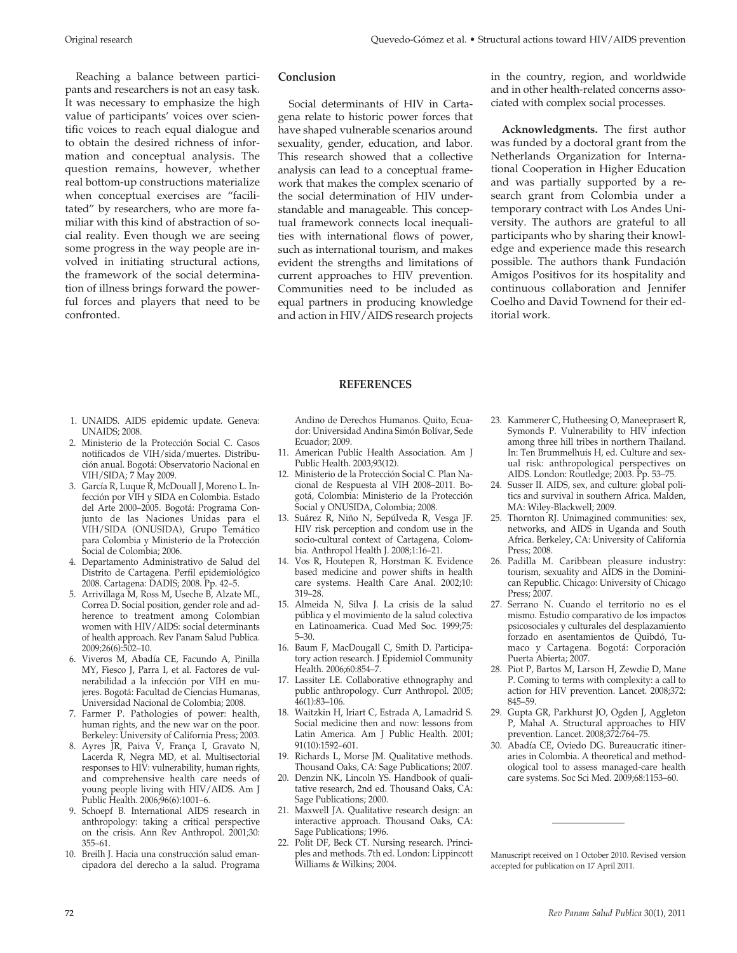Reaching a balance between participants and researchers is not an easy task. It was necessary to emphasize the high value of participants' voices over scientific voices to reach equal dialogue and to obtain the desired richness of information and conceptual analysis. The question remains, however, whether real bottom-up constructions materialize when conceptual exercises are "facilitated" by researchers, who are more familiar with this kind of abstraction of social reality. Even though we are seeing some progress in the way people are involved in initiating structural actions, the framework of the social determination of illness brings forward the powerful forces and players that need to be confronted.

## **Conclusion**

Social determinants of HIV in Cartagena relate to historic power forces that have shaped vulnerable scenarios around sexuality, gender, education, and labor. This research showed that a collective analysis can lead to a conceptual framework that makes the complex scenario of the social determination of HIV understandable and manageable. This conceptual framework connects local inequalities with international flows of power, such as international tourism, and makes evident the strengths and limitations of current approaches to HIV prevention. Communities need to be included as equal partners in producing knowledge and action in HIV/AIDS research projects

in the country, region, and worldwide and in other health-related concerns associated with complex social processes.

**Acknowledgments.** The first author was funded by a doctoral grant from the Netherlands Organization for International Cooperation in Higher Education and was partially supported by a research grant from Colombia under a temporary contract with Los Andes University. The authors are grateful to all participants who by sharing their knowledge and experience made this research possible. The authors thank Fundación Amigos Positivos for its hospitality and continuous collaboration and Jennifer Coelho and David Townend for their editorial work.

#### **REFERENCES**

- 1. UNAIDS. AIDS epidemic update. Geneva: UNAIDS; 2008.
- 2. Ministerio de la Protección Social C. Casos notificados de VIH/sida/muertes. Distribución anual. Bogotá: Observatorio Nacional en VIH/SIDA; 7 May 2009.
- 3. García R, Luque R, McDouall J, Moreno L. Infección por VIH y SIDA en Colombia. Estado del Arte 2000–2005. Bogotá: Programa Conjunto de las Naciones Unidas para el VIH/SIDA (ONUSIDA), Grupo Temático para Colombia y Ministerio de la Protección Social de Colombia; 2006.
- 4. Departamento Administrativo de Salud del Distrito de Cartagena. Perfil epidemiológico 2008. Cartagena: DADIS; 2008. Pp. 42–5.
- 5. Arrivillaga M, Ross M, Useche B, Alzate ML, Correa D. Social position, gender role and adherence to treatment among Colombian women with HIV/AIDS: social determinants of health approach. Rev Panam Salud Publica. 2009;26(6):502–10.
- 6. Viveros M, Abadía CE, Facundo A, Pinilla MY, Fiesco J, Parra I, et al. Factores de vulnerabilidad a la infección por VIH en mujeres. Bogotá: Facultad de Ciencias Humanas, Universidad Nacional de Colombia; 2008.
- 7. Farmer P. Pathologies of power: health, human rights, and the new war on the poor. Berkeley: University of California Press; 2003.
- 8. Ayres JR, Paiva V, França I, Gravato N, Lacerda R, Negra MD, et al. Multisectorial responses to HIV: vulnerability, human rights, and comprehensive health care needs of young people living with HIV/AIDS. Am J Public Health. 2006;96(6):1001–6.
- 9. Schoepf B. International AIDS research in anthropology: taking a critical perspective on the crisis. Ann Rev Anthropol. 2001;30: 355–61.
- 10. Breilh J. Hacia una construcción salud emancipadora del derecho a la salud. Programa

Andino de Derechos Humanos. Quito, Ecuador: Universidad Andina Simón Bolívar, Sede Ecuador; 2009.

- 11. American Public Health Association. Am J Public Health. 2003;93(12).
- 12. Ministerio de la Protección Social C. Plan Nacional de Respuesta al VIH 2008–2011. Bogotá, Colombia: Ministerio de la Protección Social y ONUSIDA, Colombia; 2008.
- 13. Suárez R, Niño N, Sepúlveda R, Vesga JF. HIV risk perception and condom use in the socio-cultural context of Cartagena, Colombia. Anthropol Health J. 2008;1:16–21.
- 14. Vos R, Houtepen R, Horstman K. Evidence based medicine and power shifts in health care systems. Health Care Anal. 2002;10: 319–28.
- 15. Almeida N, Silva J. La crisis de la salud pública y el movimiento de la salud colectiva en Latinoamerica. Cuad Med Soc. 1999;75: 5–30.
- 16. Baum F, MacDougall C, Smith D. Participatory action research. J Epidemiol Community Health. 2006;60:854–7.
- 17. Lassiter LE. Collaborative ethnography and public anthropology. Curr Anthropol. 2005; 46(1):83–106.
- 18. Waitzkin H, Iriart C, Estrada A, Lamadrid S. Social medicine then and now: lessons from Latin America. Am J Public Health. 2001; 91(10):1592–601.
- 19. Richards L, Morse JM. Qualitative methods. Thousand Oaks, CA: Sage Publications; 2007.
- 20. Denzin NK, Lincoln YS. Handbook of qualitative research, 2nd ed. Thousand Oaks, CA: Sage Publications; 2000.
- 21. Maxwell JA. Qualitative research design: an interactive approach. Thousand Oaks, CA: Sage Publications; 1996.
- 22. Polit DF, Beck CT. Nursing research. Principles and methods. 7th ed. London: Lippincott Williams & Wilkins; 2004.
- 23. Kammerer C, Hutheesing O, Maneeprasert R, Symonds P. Vulnerability to HIV infection among three hill tribes in northern Thailand. In: Ten Brummelhuis H, ed. Culture and sexual risk: anthropological perspectives on AIDS. London: Routledge; 2003. Pp. 53–75.
- 24. Susser II. AIDS, sex, and culture: global politics and survival in southern Africa. Malden, MA: Wiley-Blackwell; 2009.
- 25. Thornton RJ. Unimagined communities: sex, networks, and AIDS in Uganda and South Africa. Berkeley, CA: University of California Press; 2008.
- 26. Padilla M. Caribbean pleasure industry: tourism, sexuality and AIDS in the Dominican Republic. Chicago: University of Chicago Press; 2007.
- 27. Serrano N. Cuando el territorio no es el mismo. Estudio comparativo de los impactos psicosociales y culturales del desplazamiento forzado en asentamientos de Quibdó, Tumaco y Cartagena. Bogotá: Corporación Puerta Abierta; 2007.
- 28. Piot P, Bartos M, Larson H, Zewdie D, Mane P. Coming to terms with complexity: a call to action for HIV prevention. Lancet. 2008;372: 845–59.
- 29. Gupta GR, Parkhurst JO, Ogden J, Aggleton P, Mahal A. Structural approaches to HIV prevention. Lancet. 2008;372:764–75.
- 30. Abadía CE, Oviedo DG. Bureaucratic itineraries in Colombia. A theoretical and methodological tool to assess managed-care health care systems. Soc Sci Med. 2009;68:1153–60.

Manuscript received on 1 October 2010. Revised version accepted for publication on 17 April 2011.